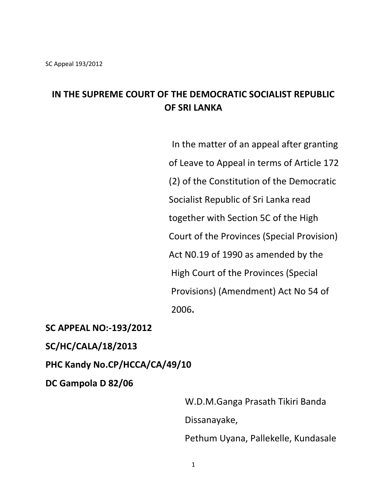## **IN THE SUPREME COURT OF THE DEMOCRATIC SOCIALIST REPUBLIC OF SRI LANKA**

 In the matter of an appeal after granting of Leave to Appeal in terms of Article 172 (2) of the Constitution of the Democratic Socialist Republic of Sri Lanka read together with Section 5C of the High Court of the Provinces (Special Provision) Act N0.19 of 1990 as amended by the High Court of the Provinces (Special Provisions) (Amendment) Act No 54 of 2006**.**

**SC APPEAL NO:-193/2012**

**SC/HC/CALA/18/2013**

**PHC Kandy No.CP/HCCA/CA/49/10**

**DC Gampola D 82/06**

 W.D.M.Ganga Prasath Tikiri Banda Dissanayake, Pethum Uyana, Pallekelle, Kundasale

1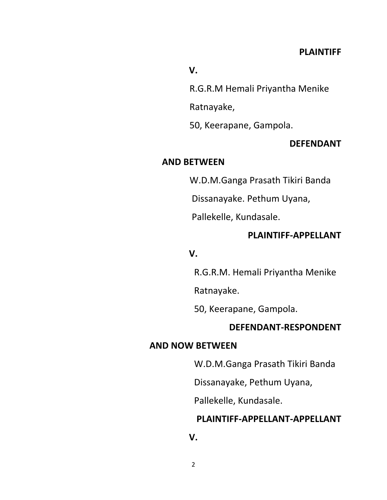#### **V.**

R.G.R.M Hemali Priyantha Menike

Ratnayake,

50, Keerapane, Gampola.

### **DEFENDANT**

#### **AND BETWEEN**

W.D.M.Ganga Prasath Tikiri Banda

Dissanayake. Pethum Uyana,

Pallekelle, Kundasale.

#### **PLAINTIFF-APPELLANT**

#### **V.**

R.G.R.M. Hemali Priyantha Menike

Ratnayake.

50, Keerapane, Gampola.

#### **DEFENDANT-RESPONDENT**

#### **AND NOW BETWEEN**

W.D.M.Ganga Prasath Tikiri Banda

Dissanayake, Pethum Uyana,

Pallekelle, Kundasale.

#### **PLAINTIFF-APPELLANT-APPELLANT**

**V.**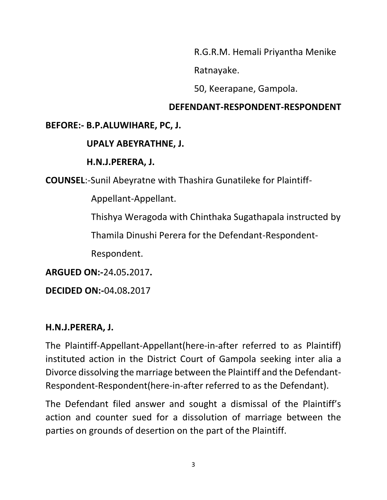R.G.R.M. Hemali Priyantha Menike

Ratnayake.

50, Keerapane, Gampola.

## **DEFENDANT-RESPONDENT-RESPONDENT**

# **BEFORE:- B.P.ALUWIHARE, PC, J.**

# **UPALY ABEYRATHNE, J.**

## **H.N.J.PERERA, J.**

**COUNSEL**:-Sunil Abeyratne with Thashira Gunatileke for Plaintiff-

Appellant-Appellant.

Thishya Weragoda with Chinthaka Sugathapala instructed by

Thamila Dinushi Perera for the Defendant-Respondent-

Respondent.

**ARGUED ON:-**24**.**05**.**2017**.**

**DECIDED ON:-**04**.**08**.**2017

## **H.N.J.PERERA, J.**

The Plaintiff-Appellant-Appellant(here-in-after referred to as Plaintiff) instituted action in the District Court of Gampola seeking inter alia a Divorce dissolving the marriage between the Plaintiff and the Defendant-Respondent-Respondent(here-in-after referred to as the Defendant).

The Defendant filed answer and sought a dismissal of the Plaintiff's action and counter sued for a dissolution of marriage between the parties on grounds of desertion on the part of the Plaintiff.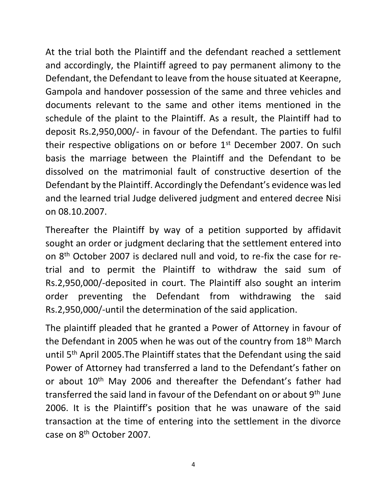At the trial both the Plaintiff and the defendant reached a settlement and accordingly, the Plaintiff agreed to pay permanent alimony to the Defendant, the Defendant to leave from the house situated at Keerapne, Gampola and handover possession of the same and three vehicles and documents relevant to the same and other items mentioned in the schedule of the plaint to the Plaintiff. As a result, the Plaintiff had to deposit Rs.2,950,000/- in favour of the Defendant. The parties to fulfil their respective obligations on or before 1<sup>st</sup> December 2007. On such basis the marriage between the Plaintiff and the Defendant to be dissolved on the matrimonial fault of constructive desertion of the Defendant by the Plaintiff. Accordingly the Defendant's evidence was led and the learned trial Judge delivered judgment and entered decree Nisi on 08.10.2007.

Thereafter the Plaintiff by way of a petition supported by affidavit sought an order or judgment declaring that the settlement entered into on 8th October 2007 is declared null and void, to re-fix the case for retrial and to permit the Plaintiff to withdraw the said sum of Rs.2,950,000/-deposited in court. The Plaintiff also sought an interim order preventing the Defendant from withdrawing the said Rs.2,950,000/-until the determination of the said application.

The plaintiff pleaded that he granted a Power of Attorney in favour of the Defendant in 2005 when he was out of the country from 18<sup>th</sup> March until 5<sup>th</sup> April 2005. The Plaintiff states that the Defendant using the said Power of Attorney had transferred a land to the Defendant's father on or about 10<sup>th</sup> May 2006 and thereafter the Defendant's father had transferred the said land in favour of the Defendant on or about 9th June 2006. It is the Plaintiff's position that he was unaware of the said transaction at the time of entering into the settlement in the divorce case on 8th October 2007.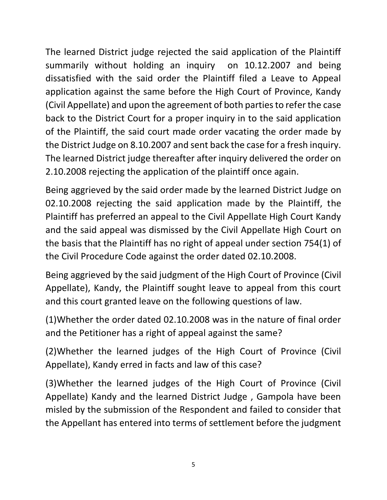The learned District judge rejected the said application of the Plaintiff summarily without holding an inquiry on 10.12.2007 and being dissatisfied with the said order the Plaintiff filed a Leave to Appeal application against the same before the High Court of Province, Kandy (Civil Appellate) and upon the agreement of both parties to refer the case back to the District Court for a proper inquiry in to the said application of the Plaintiff, the said court made order vacating the order made by the District Judge on 8.10.2007 and sent back the case for a fresh inquiry. The learned District judge thereafter after inquiry delivered the order on 2.10.2008 rejecting the application of the plaintiff once again.

Being aggrieved by the said order made by the learned District Judge on 02.10.2008 rejecting the said application made by the Plaintiff, the Plaintiff has preferred an appeal to the Civil Appellate High Court Kandy and the said appeal was dismissed by the Civil Appellate High Court on the basis that the Plaintiff has no right of appeal under section 754(1) of the Civil Procedure Code against the order dated 02.10.2008.

Being aggrieved by the said judgment of the High Court of Province (Civil Appellate), Kandy, the Plaintiff sought leave to appeal from this court and this court granted leave on the following questions of law.

(1)Whether the order dated 02.10.2008 was in the nature of final order and the Petitioner has a right of appeal against the same?

(2)Whether the learned judges of the High Court of Province (Civil Appellate), Kandy erred in facts and law of this case?

(3)Whether the learned judges of the High Court of Province (Civil Appellate) Kandy and the learned District Judge , Gampola have been misled by the submission of the Respondent and failed to consider that the Appellant has entered into terms of settlement before the judgment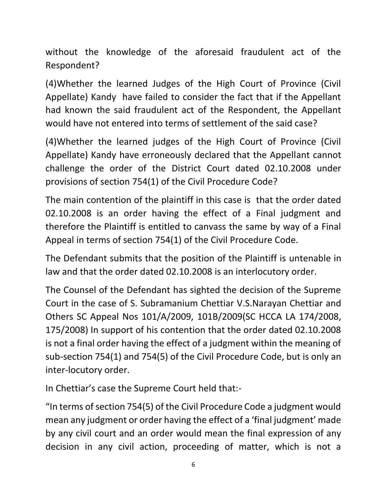without the knowledge of the aforesaid fraudulent act of the Respondent?

(4)Whether the learned Judges of the High Court of Province (Civil Appellate) Kandy have failed to consider the fact that if the Appellant had known the said fraudulent act of the Respondent, the Appellant would have not entered into terms of settlement of the said case?

(4)Whether the learned judges of the High Court of Province (Civil Appellate) Kandy have erroneously declared that the Appellant cannot challenge the order of the District Court dated 02.10.2008 under provisions of section 754(1) of the Civil Procedure Code?

The main contention of the plaintiff in this case is that the order dated 02.10.2008 is an order having the effect of a Final judgment and therefore the Plaintiff is entitled to canvass the same by way of a Final Appeal in terms of section 754(1) of the Civil Procedure Code.

The Defendant submits that the position of the Plaintiff is untenable in law and that the order dated 02.10.2008 is an interlocutory order.

The Counsel of the Defendant has sighted the decision of the Supreme Court in the case of S. Subramanium Chettiar V.S.Narayan Chettiar and Others SC Appeal Nos 101/A/2009, 101B/2009(SC HCCA LA 174/2008, 175/2008) In support of his contention that the order dated 02.10.2008 is not a final order having the effect of a judgment within the meaning of sub-section 754(1) and 754(5) of the Civil Procedure Code, but is only an inter-locutory order.

In Chettiar's case the Supreme Court held that:-

"In terms of section 754(5) of the Civil Procedure Code a judgment would mean any judgment or order having the effect of a 'final judgment' made by any civil court and an order would mean the final expression of any decision in any civil action, proceeding of matter, which is not a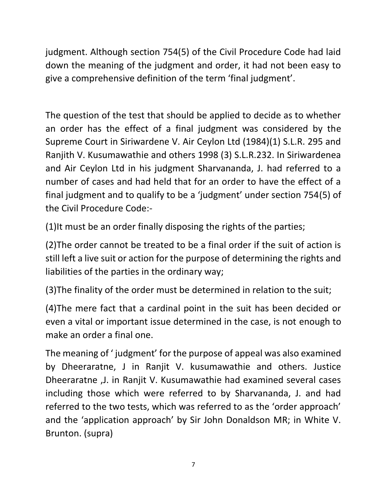judgment. Although section 754(5) of the Civil Procedure Code had laid down the meaning of the judgment and order, it had not been easy to give a comprehensive definition of the term 'final judgment'.

The question of the test that should be applied to decide as to whether an order has the effect of a final judgment was considered by the Supreme Court in Siriwardene V. Air Ceylon Ltd (1984)(1) S.L.R. 295 and Ranjith V. Kusumawathie and others 1998 (3) S.L.R.232. In Siriwardenea and Air Ceylon Ltd in his judgment Sharvananda, J. had referred to a number of cases and had held that for an order to have the effect of a final judgment and to qualify to be a 'judgment' under section 754(5) of the Civil Procedure Code:-

(1)It must be an order finally disposing the rights of the parties;

(2)The order cannot be treated to be a final order if the suit of action is still left a live suit or action for the purpose of determining the rights and liabilities of the parties in the ordinary way;

(3)The finality of the order must be determined in relation to the suit;

(4)The mere fact that a cardinal point in the suit has been decided or even a vital or important issue determined in the case, is not enough to make an order a final one.

The meaning of ' judgment' for the purpose of appeal was also examined by Dheeraratne, J in Ranjit V. kusumawathie and others. Justice Dheeraratne ,J. in Ranjit V. Kusumawathie had examined several cases including those which were referred to by Sharvananda, J. and had referred to the two tests, which was referred to as the 'order approach' and the 'application approach' by Sir John Donaldson MR; in White V. Brunton. (supra)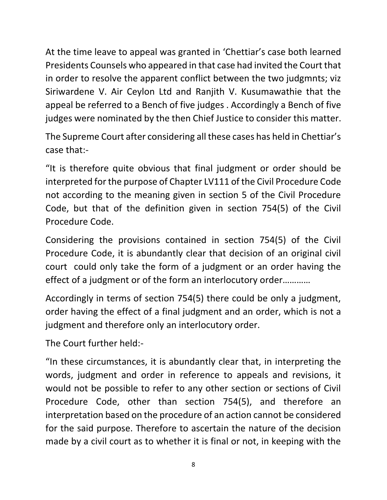At the time leave to appeal was granted in 'Chettiar's case both learned Presidents Counsels who appeared in that case had invited the Court that in order to resolve the apparent conflict between the two judgmnts; viz Siriwardene V. Air Ceylon Ltd and Ranjith V. Kusumawathie that the appeal be referred to a Bench of five judges . Accordingly a Bench of five judges were nominated by the then Chief Justice to consider this matter.

The Supreme Court after considering all these cases has held in Chettiar's case that:-

"It is therefore quite obvious that final judgment or order should be interpreted for the purpose of Chapter LV111 of the Civil Procedure Code not according to the meaning given in section 5 of the Civil Procedure Code, but that of the definition given in section 754(5) of the Civil Procedure Code.

Considering the provisions contained in section 754(5) of the Civil Procedure Code, it is abundantly clear that decision of an original civil court could only take the form of a judgment or an order having the effect of a judgment or of the form an interlocutory order…………

Accordingly in terms of section 754(5) there could be only a judgment, order having the effect of a final judgment and an order, which is not a judgment and therefore only an interlocutory order.

The Court further held:-

"In these circumstances, it is abundantly clear that, in interpreting the words, judgment and order in reference to appeals and revisions, it would not be possible to refer to any other section or sections of Civil Procedure Code, other than section 754(5), and therefore an interpretation based on the procedure of an action cannot be considered for the said purpose. Therefore to ascertain the nature of the decision made by a civil court as to whether it is final or not, in keeping with the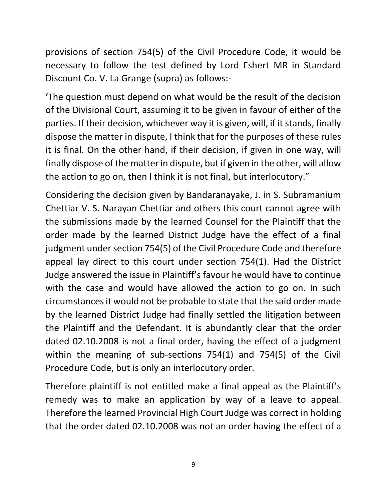provisions of section 754(5) of the Civil Procedure Code, it would be necessary to follow the test defined by Lord Eshert MR in Standard Discount Co. V. La Grange (supra) as follows:-

'The question must depend on what would be the result of the decision of the Divisional Court, assuming it to be given in favour of either of the parties. If their decision, whichever way it is given, will, if it stands, finally dispose the matter in dispute, I think that for the purposes of these rules it is final. On the other hand, if their decision, if given in one way, will finally dispose of the matter in dispute, but if given in the other, will allow the action to go on, then I think it is not final, but interlocutory."

Considering the decision given by Bandaranayake, J. in S. Subramanium Chettiar V. S. Narayan Chettiar and others this court cannot agree with the submissions made by the learned Counsel for the Plaintiff that the order made by the learned District Judge have the effect of a final judgment under section 754(5) of the Civil Procedure Code and therefore appeal lay direct to this court under section 754(1). Had the District Judge answered the issue in Plaintiff's favour he would have to continue with the case and would have allowed the action to go on. In such circumstances it would not be probable to state that the said order made by the learned District Judge had finally settled the litigation between the Plaintiff and the Defendant. It is abundantly clear that the order dated 02.10.2008 is not a final order, having the effect of a judgment within the meaning of sub-sections 754(1) and 754(5) of the Civil Procedure Code, but is only an interlocutory order.

Therefore plaintiff is not entitled make a final appeal as the Plaintiff's remedy was to make an application by way of a leave to appeal. Therefore the learned Provincial High Court Judge was correct in holding that the order dated 02.10.2008 was not an order having the effect of a